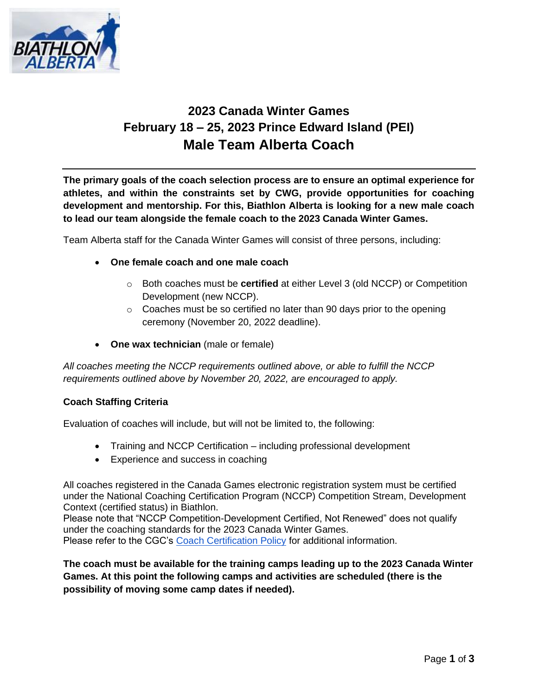

## **2023 Canada Winter Games February 18 – 25, 2023 Prince Edward Island (PEI) Male Team Alberta Coach**

**The primary goals of the coach selection process are to ensure an optimal experience for athletes, and within the constraints set by CWG, provide opportunities for coaching development and mentorship. For this, Biathlon Alberta is looking for a new male coach to lead our team alongside the female coach to the 2023 Canada Winter Games.**

Team Alberta staff for the Canada Winter Games will consist of three persons, including:

- **One female coach and one male coach** 
	- o Both coaches must be **certified** at either Level 3 (old NCCP) or Competition Development (new NCCP).
	- o Coaches must be so certified no later than 90 days prior to the opening ceremony (November 20, 2022 deadline).
- **One wax technician** (male or female)

*All coaches meeting the NCCP requirements outlined above, or able to fulfill the NCCP requirements outlined above by November 20, 2022, are encouraged to apply.* 

#### **Coach Staffing Criteria**

Evaluation of coaches will include, but will not be limited to, the following:

- Training and NCCP Certification including professional development
- Experience and success in coaching

All coaches registered in the Canada Games electronic registration system must be certified under the National Coaching Certification Program (NCCP) Competition Stream, Development Context (certified status) in Biathlon.

Please note that "NCCP Competition-Development Certified, Not Renewed" does not qualify under the coaching standards for the 2023 Canada Winter Games. Please refer to the CGC's [Coach Certification Policy](https://drive.google.com/open?id=1G3R4LPSxy5bc_IZALgwLYqQzOpxFSm4x) for additional information.

**The coach must be available for the training camps leading up to the 2023 Canada Winter Games. At this point the following camps and activities are scheduled (there is the possibility of moving some camp dates if needed).**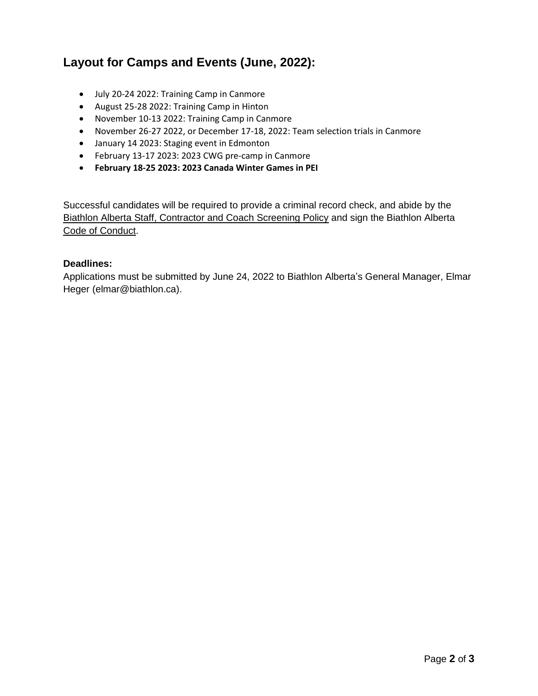### **Layout for Camps and Events (June, 2022):**

- July 20-24 2022: Training Camp in Canmore
- August 25-28 2022: Training Camp in Hinton
- November 10-13 2022: Training Camp in Canmore
- November 26-27 2022, or December 17-18, 2022: Team selection trials in Canmore
- January 14 2023: Staging event in Edmonton
- February 13-17 2023: 2023 CWG pre-camp in Canmore
- **February 18-25 2023: 2023 Canada Winter Games in PEI**

Successful candidates will be required to provide a criminal record check, and abide by the [Biathlon Alberta Staff, Contractor and Coach](http://biathlon.ca/wp-content/uploads/2019/11/Staff-Contractor-and-Volunteer-Screening-Policy.pdf) Screening Policy and sign the Biathlon Alberta [Code of Conduct.](http://biathlon.ca/wp-content/uploads/2015/12/Biathlon-Alberta-Code-of-Conduct-Final.docx.pdf)

#### **Deadlines:**

Applications must be submitted by June 24, 2022 to Biathlon Alberta's General Manager, Elmar Heger (elmar@biathlon.ca).